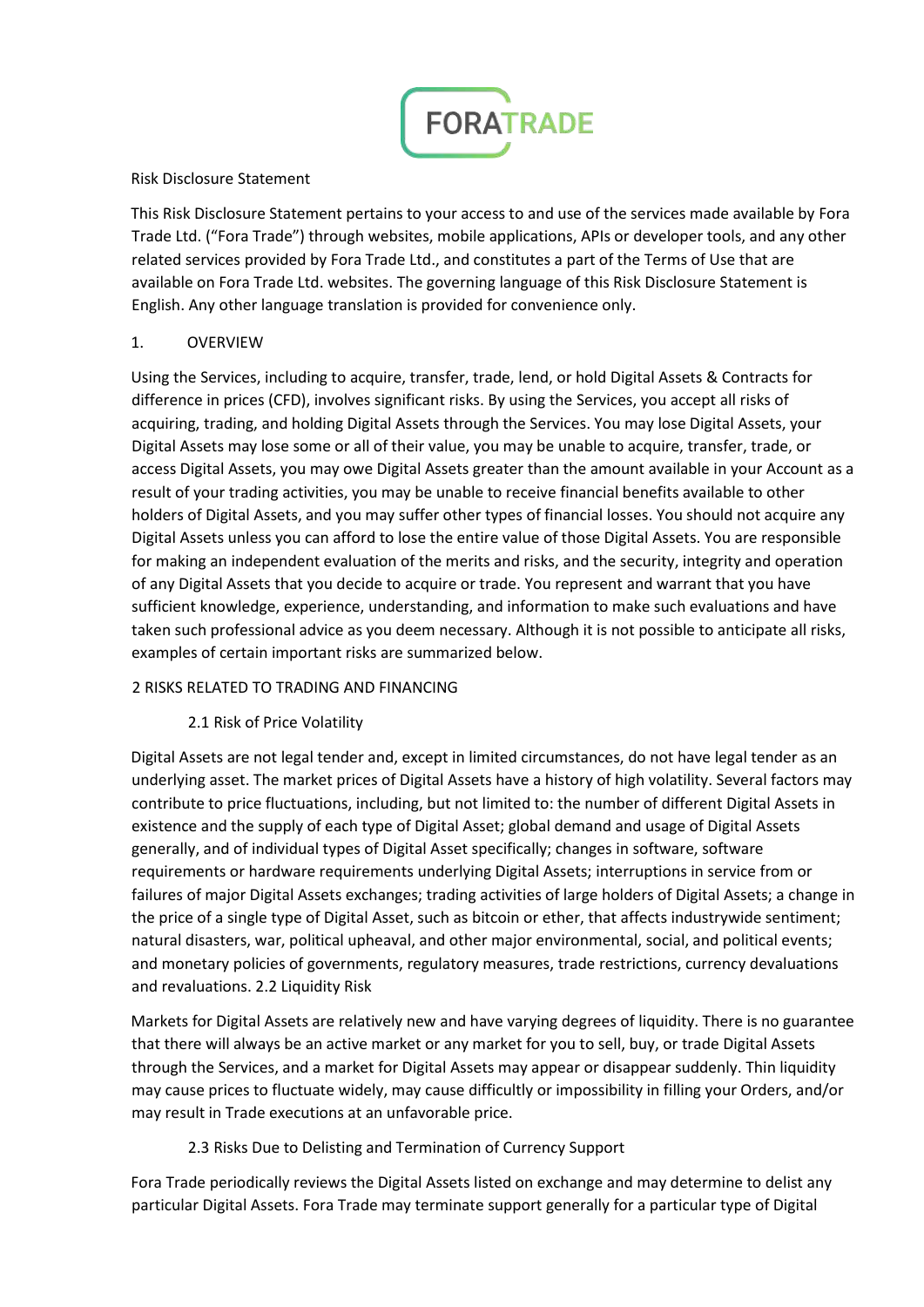

Risk Disclosure Statement

This Risk Disclosure Statement pertains to your access to and use of the services made available by Fora Trade Ltd. ("Fora Trade") through websites, mobile applications, APIs or developer tools, and any other related services provided by Fora Trade Ltd., and constitutes a part of the Terms of Use that are available on Fora Trade Ltd. websites. The governing language of this Risk Disclosure Statement is English. Any other language translation is provided for convenience only.

## 1. OVERVIEW

Using the Services, including to acquire, transfer, trade, lend, or hold Digital Assets & Contracts for difference in prices (CFD), involves significant risks. By using the Services, you accept all risks of acquiring, trading, and holding Digital Assets through the Services. You may lose Digital Assets, your Digital Assets may lose some or all of their value, you may be unable to acquire, transfer, trade, or access Digital Assets, you may owe Digital Assets greater than the amount available in your Account as a result of your trading activities, you may be unable to receive financial benefits available to other holders of Digital Assets, and you may suffer other types of financial losses. You should not acquire any Digital Assets unless you can afford to lose the entire value of those Digital Assets. You are responsible for making an independent evaluation of the merits and risks, and the security, integrity and operation of any Digital Assets that you decide to acquire or trade. You represent and warrant that you have sufficient knowledge, experience, understanding, and information to make such evaluations and have taken such professional advice as you deem necessary. Although it is not possible to anticipate all risks, examples of certain important risks are summarized below.

#### 2 RISKS RELATED TO TRADING AND FINANCING

# 2.1 Risk of Price Volatility

Digital Assets are not legal tender and, except in limited circumstances, do not have legal tender as an underlying asset. The market prices of Digital Assets have a history of high volatility. Several factors may contribute to price fluctuations, including, but not limited to: the number of different Digital Assets in existence and the supply of each type of Digital Asset; global demand and usage of Digital Assets generally, and of individual types of Digital Asset specifically; changes in software, software requirements or hardware requirements underlying Digital Assets; interruptions in service from or failures of major Digital Assets exchanges; trading activities of large holders of Digital Assets; a change in the price of a single type of Digital Asset, such as bitcoin or ether, that affects industrywide sentiment; natural disasters, war, political upheaval, and other major environmental, social, and political events; and monetary policies of governments, regulatory measures, trade restrictions, currency devaluations and revaluations. 2.2 Liquidity Risk

Markets for Digital Assets are relatively new and have varying degrees of liquidity. There is no guarantee that there will always be an active market or any market for you to sell, buy, or trade Digital Assets through the Services, and a market for Digital Assets may appear or disappear suddenly. Thin liquidity may cause prices to fluctuate widely, may cause difficultly or impossibility in filling your Orders, and/or may result in Trade executions at an unfavorable price.

# 2.3 Risks Due to Delisting and Termination of Currency Support

Fora Trade periodically reviews the Digital Assets listed on exchange and may determine to delist any particular Digital Assets. Fora Trade may terminate support generally for a particular type of Digital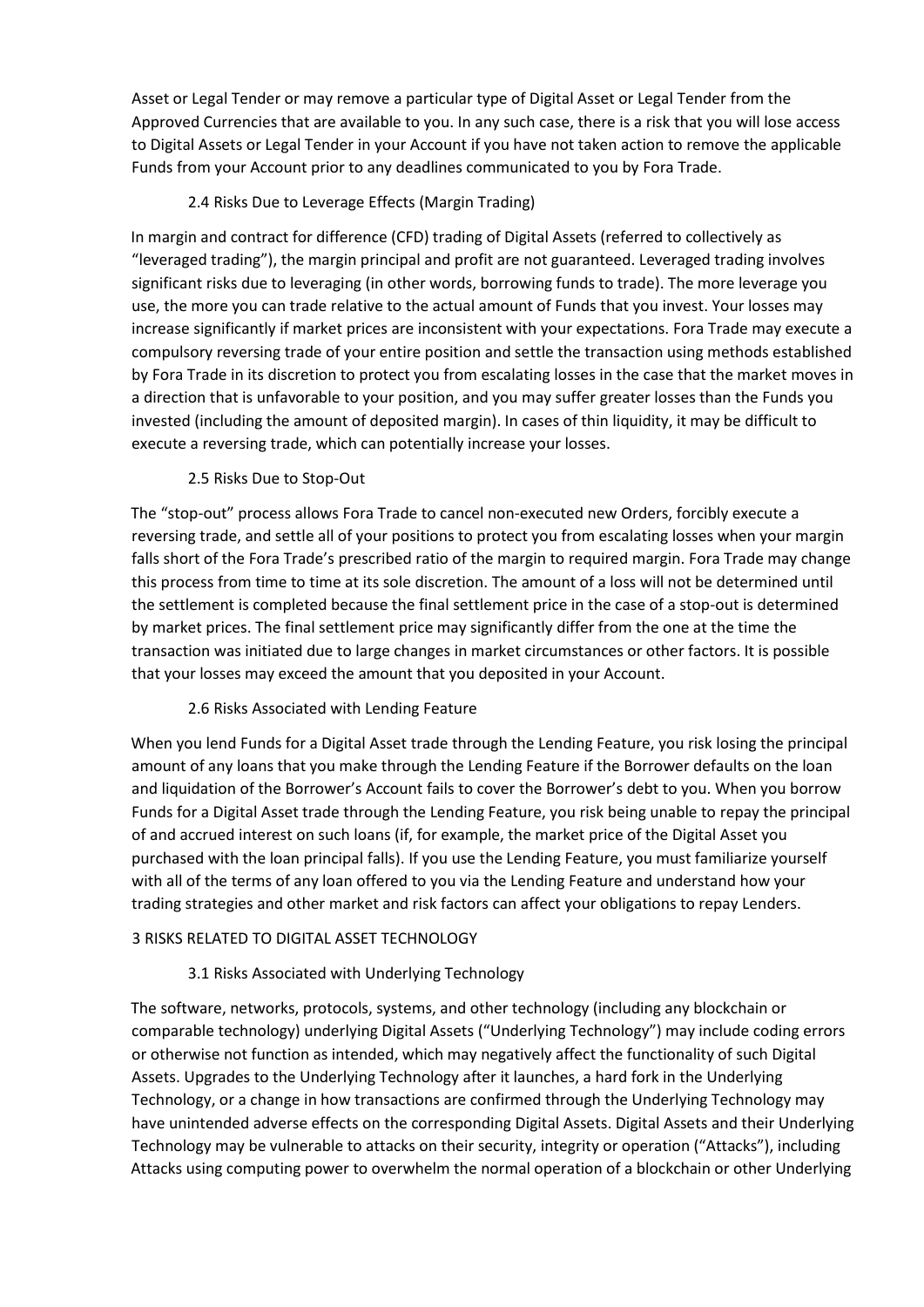Asset or Legal Tender or may remove a particular type of Digital Asset or Legal Tender from the Approved Currencies that are available to you. In any such case, there is a risk that you will lose access to Digital Assets or Legal Tender in your Account if you have not taken action to remove the applicable Funds from your Account prior to any deadlines communicated to you by Fora Trade.

## 2.4 Risks Due to Leverage Effects (Margin Trading)

In margin and contract for difference (CFD) trading of Digital Assets (referred to collectively as "leveraged trading"), the margin principal and profit are not guaranteed. Leveraged trading involves significant risks due to leveraging (in other words, borrowing funds to trade). The more leverage you use, the more you can trade relative to the actual amount of Funds that you invest. Your losses may increase significantly if market prices are inconsistent with your expectations. Fora Trade may execute a compulsory reversing trade of your entire position and settle the transaction using methods established by Fora Trade in its discretion to protect you from escalating losses in the case that the market moves in a direction that is unfavorable to your position, and you may suffer greater losses than the Funds you invested (including the amount of deposited margin). In cases of thin liquidity, it may be difficult to execute a reversing trade, which can potentially increase your losses.

## 2.5 Risks Due to Stop-Out

The "stop-out" process allows Fora Trade to cancel non-executed new Orders, forcibly execute a reversing trade, and settle all of your positions to protect you from escalating losses when your margin falls short of the Fora Trade's prescribed ratio of the margin to required margin. Fora Trade may change this process from time to time at its sole discretion. The amount of a loss will not be determined until the settlement is completed because the final settlement price in the case of a stop-out is determined by market prices. The final settlement price may significantly differ from the one at the time the transaction was initiated due to large changes in market circumstances or other factors. It is possible that your losses may exceed the amount that you deposited in your Account.

#### 2.6 Risks Associated with Lending Feature

When you lend Funds for a Digital Asset trade through the Lending Feature, you risk losing the principal amount of any loans that you make through the Lending Feature if the Borrower defaults on the loan and liquidation of the Borrower's Account fails to cover the Borrower's debt to you. When you borrow Funds for a Digital Asset trade through the Lending Feature, you risk being unable to repay the principal of and accrued interest on such loans (if, for example, the market price of the Digital Asset you purchased with the loan principal falls). If you use the Lending Feature, you must familiarize yourself with all of the terms of any loan offered to you via the Lending Feature and understand how your trading strategies and other market and risk factors can affect your obligations to repay Lenders.

#### 3 RISKS RELATED TO DIGITAL ASSET TECHNOLOGY

#### 3.1 Risks Associated with Underlying Technology

The software, networks, protocols, systems, and other technology (including any blockchain or comparable technology) underlying Digital Assets ("Underlying Technology") may include coding errors or otherwise not function as intended, which may negatively affect the functionality of such Digital Assets. Upgrades to the Underlying Technology after it launches, a hard fork in the Underlying Technology, or a change in how transactions are confirmed through the Underlying Technology may have unintended adverse effects on the corresponding Digital Assets. Digital Assets and their Underlying Technology may be vulnerable to attacks on their security, integrity or operation ("Attacks"), including Attacks using computing power to overwhelm the normal operation of a blockchain or other Underlying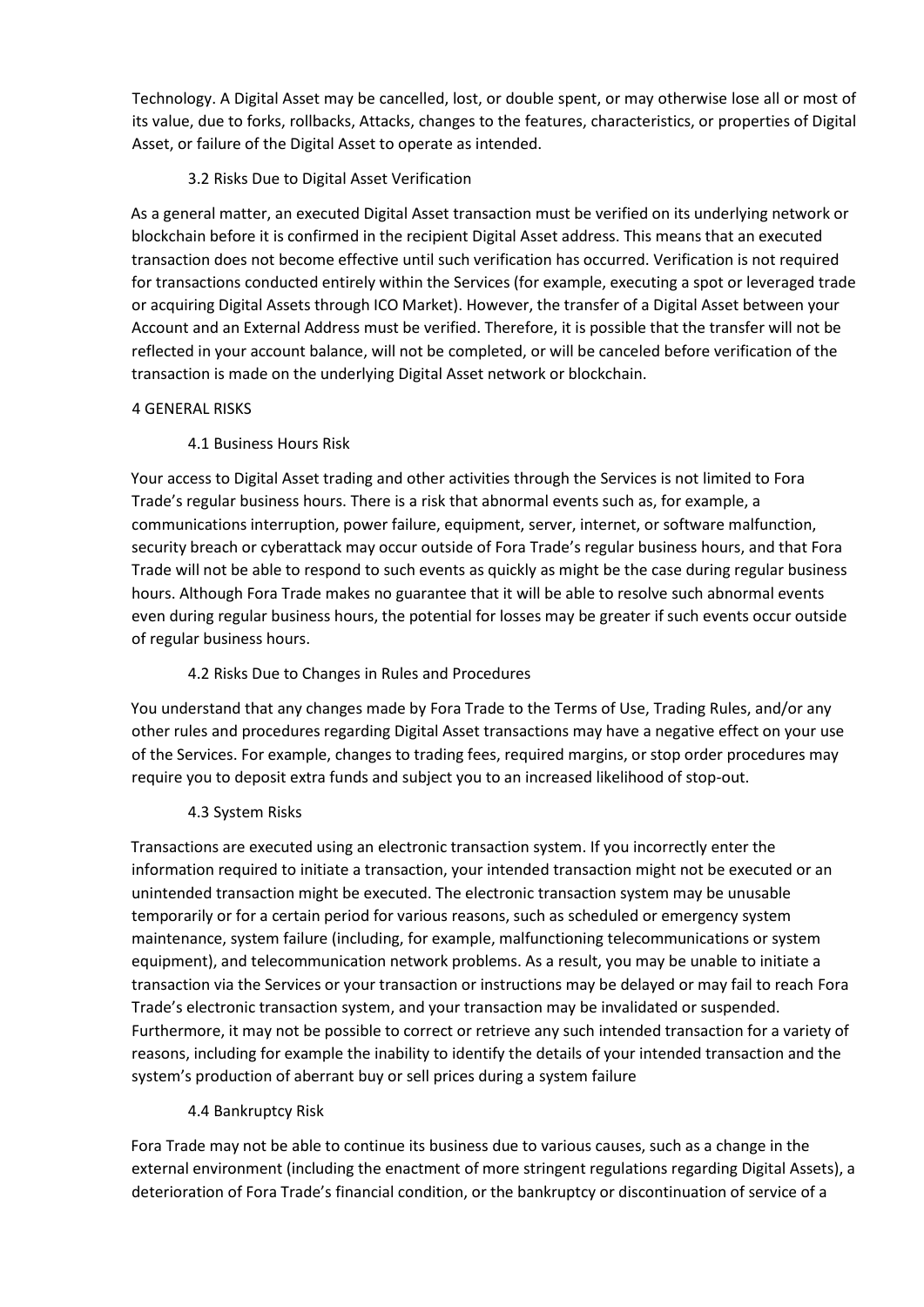Technology. A Digital Asset may be cancelled, lost, or double spent, or may otherwise lose all or most of its value, due to forks, rollbacks, Attacks, changes to the features, characteristics, or properties of Digital Asset, or failure of the Digital Asset to operate as intended.

# 3.2 Risks Due to Digital Asset Verification

As a general matter, an executed Digital Asset transaction must be verified on its underlying network or blockchain before it is confirmed in the recipient Digital Asset address. This means that an executed transaction does not become effective until such verification has occurred. Verification is not required for transactions conducted entirely within the Services (for example, executing a spot or leveraged trade or acquiring Digital Assets through ICO Market). However, the transfer of a Digital Asset between your Account and an External Address must be verified. Therefore, it is possible that the transfer will not be reflected in your account balance, will not be completed, or will be canceled before verification of the transaction is made on the underlying Digital Asset network or blockchain.

#### 4 GENERAL RISKS

#### 4.1 Business Hours Risk

Your access to Digital Asset trading and other activities through the Services is not limited to Fora Trade's regular business hours. There is a risk that abnormal events such as, for example, a communications interruption, power failure, equipment, server, internet, or software malfunction, security breach or cyberattack may occur outside of Fora Trade's regular business hours, and that Fora Trade will not be able to respond to such events as quickly as might be the case during regular business hours. Although Fora Trade makes no guarantee that it will be able to resolve such abnormal events even during regular business hours, the potential for losses may be greater if such events occur outside of regular business hours.

#### 4.2 Risks Due to Changes in Rules and Procedures

You understand that any changes made by Fora Trade to the Terms of Use, Trading Rules, and/or any other rules and procedures regarding Digital Asset transactions may have a negative effect on your use of the Services. For example, changes to trading fees, required margins, or stop order procedures may require you to deposit extra funds and subject you to an increased likelihood of stop-out.

#### 4.3 System Risks

Transactions are executed using an electronic transaction system. If you incorrectly enter the information required to initiate a transaction, your intended transaction might not be executed or an unintended transaction might be executed. The electronic transaction system may be unusable temporarily or for a certain period for various reasons, such as scheduled or emergency system maintenance, system failure (including, for example, malfunctioning telecommunications or system equipment), and telecommunication network problems. As a result, you may be unable to initiate a transaction via the Services or your transaction or instructions may be delayed or may fail to reach Fora Trade's electronic transaction system, and your transaction may be invalidated or suspended. Furthermore, it may not be possible to correct or retrieve any such intended transaction for a variety of reasons, including for example the inability to identify the details of your intended transaction and the system's production of aberrant buy or sell prices during a system failure

#### 4.4 Bankruptcy Risk

Fora Trade may not be able to continue its business due to various causes, such as a change in the external environment (including the enactment of more stringent regulations regarding Digital Assets), a deterioration of Fora Trade's financial condition, or the bankruptcy or discontinuation of service of a